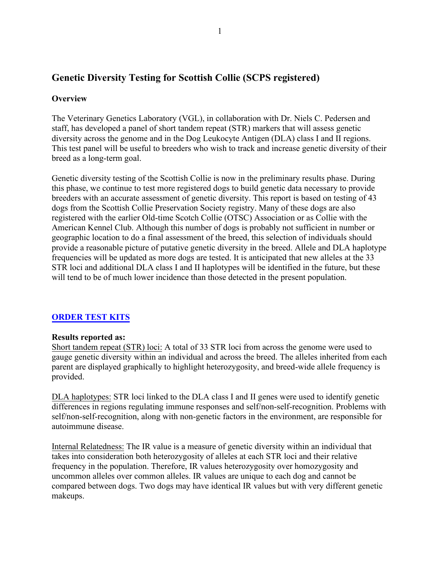# **Genetic Diversity Testing for Scottish Collie (SCPS registered)**

## **Overview**

The Veterinary Genetics Laboratory (VGL), in collaboration with Dr. Niels C. Pedersen and staff, has developed a panel of short tandem repeat (STR) markers that will assess genetic diversity across the genome and in the Dog Leukocyte Antigen (DLA) class I and II regions. This test panel will be useful to breeders who wish to track and increase genetic diversity of their breed as a long-term goal.

Genetic diversity testing of the Scottish Collie is now in the preliminary results phase. During this phase, we continue to test more registered dogs to build genetic data necessary to provide breeders with an accurate assessment of genetic diversity. This report is based on testing of 43 dogs from the Scottish Collie Preservation Society registry. Many of these dogs are also registered with the earlier Old-time Scotch Collie (OTSC) Association or as Collie with the American Kennel Club. Although this number of dogs is probably not sufficient in number or geographic location to do a final assessment of the breed, this selection of individuals should provide a reasonable picture of putative genetic diversity in the breed. Allele and DLA haplotype frequencies will be updated as more dogs are tested. It is anticipated that new alleles at the 33 STR loci and additional DLA class I and II haplotypes will be identified in the future, but these will tend to be of much lower incidence than those detected in the present population.

## **[ORDER TEST KITS](https://www.vgl.ucdavis.edu/myvgl/dogsporder.html)**

### **Results reported as:**

Short tandem repeat (STR) loci: A total of 33 STR loci from across the genome were used to gauge genetic diversity within an individual and across the breed. The alleles inherited from each parent are displayed graphically to highlight heterozygosity, and breed-wide allele frequency is provided.

DLA haplotypes: STR loci linked to the DLA class I and II genes were used to identify genetic differences in regions regulating immune responses and self/non-self-recognition. Problems with self/non-self-recognition, along with non-genetic factors in the environment, are responsible for autoimmune disease.

Internal Relatedness: The IR value is a measure of genetic diversity within an individual that takes into consideration both heterozygosity of alleles at each STR loci and their relative frequency in the population. Therefore, IR values heterozygosity over homozygosity and uncommon alleles over common alleles. IR values are unique to each dog and cannot be compared between dogs. Two dogs may have identical IR values but with very different genetic makeups.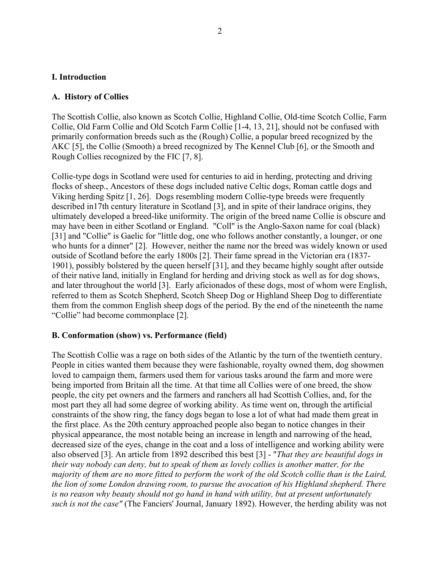#### **I. Introduction**

### **A. History of Collies**

The Scottish Collie, also known as Scotch Collie, Highland Collie, Old-time Scotch Collie, Farm Collie, Old Farm Collie and Old Scotch Farm Collie [1-4, 13, 21], should not be confused with primarily conformation breeds such as the (Rough) Collie, a popular breed recognized by the AKC [5], the Collie (Smooth) a breed recognized by The Kennel Club [6], or the Smooth and Rough Collies recognized by the FIC [7, 8].

Collie-type dogs in Scotland were used for centuries to aid in herding, protecting and driving flocks of sheep., Ancestors of these dogs included native Celtic dogs, Roman cattle dogs and Viking herding Spitz [1, 26]. Dogs resembling modern Collie-type breeds were frequently described in17th century literature in Scotland [3], and in spite of their landrace origins, they ultimately developed a breed-like uniformity. The origin of the breed name Collie is obscure and may have been in either Scotland or England. "Coll" is the Anglo-Saxon name for coal (black) [31] and "Collie" is Gaelic for "little dog, one who follows another constantly, a lounger, or one who hunts for a dinner" [2]. However, neither the name nor the breed was widely known or used outside of Scotland before the early 1800s [2]. Their fame spread in the Victorian era (1837- 1901), possibly bolstered by the queen herself [31], and they became highly sought after outside of their native land, initially in England for herding and driving stock as well as for dog shows, and later throughout the world [3]. Early aficionados of these dogs, most of whom were English, referred to them as Scotch Shepherd, Scotch Sheep Dog or Highland Sheep Dog to differentiate them from the common English sheep dogs of the period. By the end of the nineteenth the name "Collie" had become commonplace [2].

#### **B. Conformation (show) vs. Performance (field)**

The Scottish Collie was a rage on both sides of the Atlantic by the turn of the twentieth century. People in cities wanted them because they were fashionable, royalty owned them, dog showmen loved to campaign them, farmers used them for various tasks around the farm and more were being imported from Britain all the time. At that time all Collies were of one breed, the show people, the city pet owners and the farmers and ranchers all had Scottish Collies, and, for the most part they all had some degree of working ability. As time went on, through the artificial constraints of the show ring, the fancy dogs began to lose a lot of what had made them great in the first place. As the 20th century approached people also began to notice changes in their physical appearance, the most notable being an increase in length and narrowing of the head, decreased size of the eyes, change in the coat and a loss of intelligence and working ability were also observed [3]. An article from 1892 described this best [3] - "*That they are beautiful dogs in their way nobody can deny, but to speak of them as lovely collies is another matter, for the majority of them are no more fitted to perform the work of the old Scotch collie than is the Laird, the lion of some London drawing room, to pursue the avocation of his Highland shepherd. There is no reason why beauty should not go hand in hand with utility, but at present unfortunately such is not the case"* (The Fanciers' Journal, January 1892). However, the herding ability was not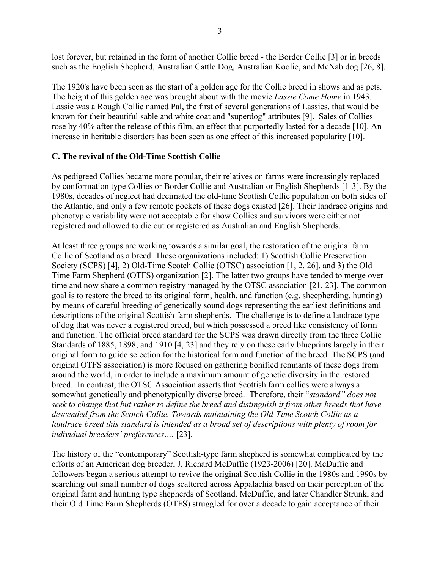lost forever, but retained in the form of another Collie breed - the Border Collie [3] or in breeds such as the English Shepherd, Australian Cattle Dog, Australian Koolie, and McNab dog [26, 8].

The 1920's have been seen as the start of a golden age for the Collie breed in shows and as pets. The height of this golden age was brought about with the movie *Lassie Come Home* in 1943. Lassie was a Rough Collie named Pal, the first of several generations of Lassies, that would be known for their beautiful sable and white coat and "superdog" attributes [9]. Sales of Collies rose by 40% after the release of this film, an effect that purportedly lasted for a decade [10]. An increase in heritable disorders has been seen as one effect of this increased popularity [10].

### **C. The revival of the Old-Time Scottish Collie**

As pedigreed Collies became more popular, their relatives on farms were increasingly replaced by conformation type Collies or Border Collie and Australian or English Shepherds [1-3]. By the 1980s, decades of neglect had decimated the old-time Scottish Collie population on both sides of the Atlantic, and only a few remote pockets of these dogs existed [26]. Their landrace origins and phenotypic variability were not acceptable for show Collies and survivors were either not registered and allowed to die out or registered as Australian and English Shepherds.

At least three groups are working towards a similar goal, the restoration of the original farm Collie of Scotland as a breed. These organizations included: 1) Scottish Collie Preservation Society (SCPS) [4], 2) Old-Time Scotch Collie (OTSC) association [1, 2, 26], and 3) the Old Time Farm Shepherd (OTFS) organization [2]. The latter two groups have tended to merge over time and now share a common registry managed by the OTSC association [21, 23]. The common goal is to restore the breed to its original form, health, and function (e.g. sheepherding, hunting) by means of careful breeding of genetically sound dogs representing the earliest definitions and descriptions of the original Scottish farm shepherds. The challenge is to define a landrace type of dog that was never a registered breed, but which possessed a breed like consistency of form and function. The official breed standard for the SCPS was drawn directly from the three Collie Standards of 1885, 1898, and 1910 [4, 23] and they rely on these early blueprints largely in their original form to guide selection for the historical form and function of the breed. The SCPS (and original OTFS association) is more focused on gathering bonified remnants of these dogs from around the world, in order to include a maximum amount of genetic diversity in the restored breed. In contrast, the OTSC Association asserts that Scottish farm collies were always a somewhat genetically and phenotypically diverse breed. Therefore, their "*standard" does not seek to change that but rather to define the breed and distinguish it from other breeds that have descended from the Scotch Collie. Towards maintaining the Old-Time Scotch Collie as a landrace breed this standard is intended as a broad set of descriptions with plenty of room for individual breeders' preferences….* [23].

The history of the "contemporary" Scottish-type farm shepherd is somewhat complicated by the efforts of an American dog breeder, J. Richard McDuffie (1923-2006) [20]. McDuffie and followers began a serious attempt to revive the original Scottish Collie in the 1980s and 1990s by searching out small number of dogs scattered across Appalachia based on their perception of the original farm and hunting type shepherds of Scotland. McDuffie, and later Chandler Strunk, and their Old Time Farm Shepherds (OTFS) struggled for over a decade to gain acceptance of their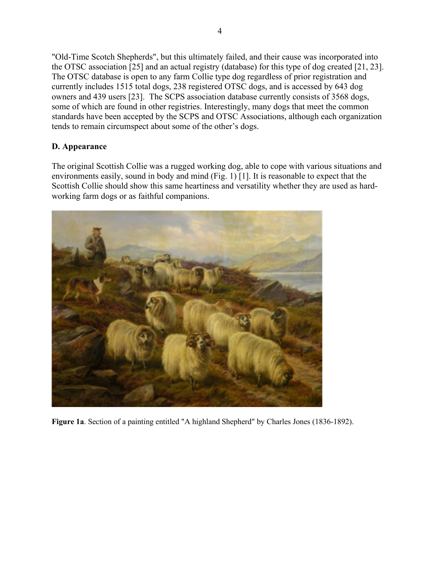"Old-Time Scotch Shepherds", but this ultimately failed, and their cause was incorporated into the OTSC association [25] and an actual registry (database) for this type of dog created [21, 23]. The OTSC database is open to any farm Collie type dog regardless of prior registration and currently includes 1515 total dogs, 238 registered OTSC dogs, and is accessed by 643 dog owners and 439 users [23]. The SCPS association database currently consists of 3568 dogs, some of which are found in other registries. Interestingly, many dogs that meet the common standards have been accepted by the SCPS and OTSC Associations, although each organization tends to remain circumspect about some of the other's dogs.

## **D. Appearance**

The original Scottish Collie was a rugged working dog, able to cope with various situations and environments easily, sound in body and mind (Fig. 1) [1]. It is reasonable to expect that the Scottish Collie should show this same heartiness and versatility whether they are used as hardworking farm dogs or as faithful companions.



**Figure 1a**. Section of a painting entitled "A highland Shepherd" by Charles Jones (1836-1892).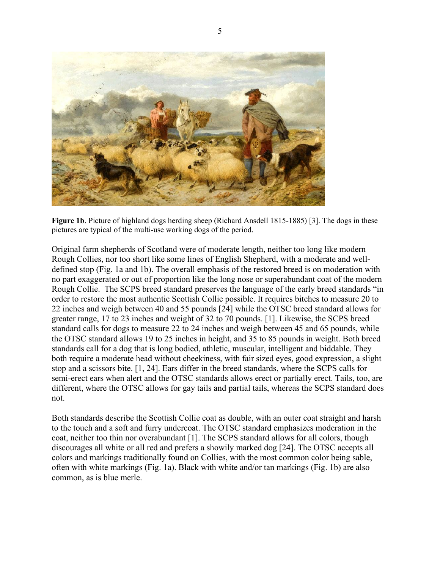

**Figure 1b**. Picture of highland dogs herding sheep (Richard Ansdell 1815-1885) [3]. The dogs in these pictures are typical of the multi-use working dogs of the period.

Original farm shepherds of Scotland were of moderate length, neither too long like modern Rough Collies, nor too short like some lines of English Shepherd, with a moderate and welldefined stop (Fig. 1a and 1b). The overall emphasis of the restored breed is on moderation with no part exaggerated or out of proportion like the long nose or superabundant coat of the modern Rough Collie. The SCPS breed standard preserves the language of the early breed standards "in order to restore the most authentic Scottish Collie possible. It requires bitches to measure 20 to 22 inches and weigh between 40 and 55 pounds [24] while the OTSC breed standard allows for greater range, 17 to 23 inches and weight of 32 to 70 pounds. [1]. Likewise, the SCPS breed standard calls for dogs to measure 22 to 24 inches and weigh between 45 and 65 pounds, while the OTSC standard allows 19 to 25 inches in height, and 35 to 85 pounds in weight. Both breed standards call for a dog that is long bodied, athletic, muscular, intelligent and biddable. They both require a moderate head without cheekiness, with fair sized eyes, good expression, a slight stop and a scissors bite. [1, 24]. Ears differ in the breed standards, where the SCPS calls for semi-erect ears when alert and the OTSC standards allows erect or partially erect. Tails, too, are different, where the OTSC allows for gay tails and partial tails, whereas the SCPS standard does not.

Both standards describe the Scottish Collie coat as double, with an outer coat straight and harsh to the touch and a soft and furry undercoat. The OTSC standard emphasizes moderation in the coat, neither too thin nor overabundant [1]. The SCPS standard allows for all colors, though discourages all white or all red and prefers a showily marked dog [24]. The OTSC accepts all colors and markings traditionally found on Collies, with the most common color being sable, often with white markings (Fig. 1a). Black with white and/or tan markings (Fig. 1b) are also common, as is blue merle.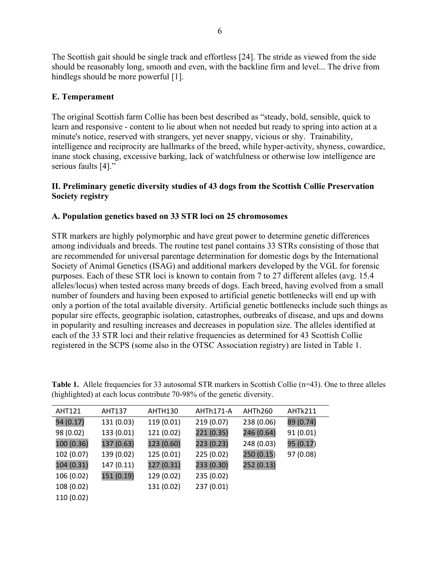The Scottish gait should be single track and effortless [24]. The stride as viewed from the side should be reasonably long, smooth and even, with the backline firm and level... The drive from hindlegs should be more powerful [1].

## **E. Temperament**

The original Scottish farm Collie has been best described as "steady, bold, sensible, quick to learn and responsive - content to lie about when not needed but ready to spring into action at a minute's notice, reserved with strangers, yet never snappy, vicious or shy. Trainability, intelligence and reciprocity are hallmarks of the breed, while hyper-activity, shyness, cowardice, inane stock chasing, excessive barking, lack of watchfulness or otherwise low intelligence are serious faults [4]."

### **II. Preliminary genetic diversity studies of 43 dogs from the Scottish Collie Preservation Society registry**

## **A. Population genetics based on 33 STR loci on 25 chromosomes**

STR markers are highly polymorphic and have great power to determine genetic differences among individuals and breeds. The routine test panel contains 33 STRs consisting of those that are recommended for universal parentage determination for domestic dogs by the International Society of Animal Genetics (ISAG) and additional markers developed by the VGL for forensic purposes. Each of these STR loci is known to contain from 7 to 27 different alleles (avg. 15.4 alleles/locus) when tested across many breeds of dogs. Each breed, having evolved from a small number of founders and having been exposed to artificial genetic bottlenecks will end up with only a portion of the total available diversity. Artificial genetic bottlenecks include such things as popular sire effects, geographic isolation, catastrophes, outbreaks of disease, and ups and downs in popularity and resulting increases and decreases in population size. The alleles identified at each of the 33 STR loci and their relative frequencies as determined for 43 Scottish Collie registered in the SCPS (some also in the OTSC Association registry) are listed in Table 1.

| <b>AHT121</b> | <b>AHT137</b> | AHTH130    | AHTh171-A  | AHTh260    | AHTk211   |
|---------------|---------------|------------|------------|------------|-----------|
| 94 (0.17)     | 131 (0.03)    | 119 (0.01) | 219 (0.07) | 238 (0.06) | 89 (0.74) |
| 98 (0.02)     | 133 (0.01)    | 121 (0.02) | 221 (0.35) | 246 (0.64) | 91(0.01)  |
| 100 (0.36)    | 137 (0.63)    | 123 (0.60) | 223 (0.23) | 248 (0.03) | 95 (0.17) |
| 102 (0.07)    | 139 (0.02)    | 125 (0.01) | 225 (0.02) | 250 (0.15) | 97 (0.08) |
| 104 (0.31)    | 147(0.11)     | 127 (0.31) | 233 (0.30) | 252 (0.13) |           |
| 106 (0.02)    | 151 (0.19)    | 129 (0.02) | 235 (0.02) |            |           |
| 108 (0.02)    |               | 131 (0.02) | 237 (0.01) |            |           |
| 110 (0.02)    |               |            |            |            |           |

**Table 1.** Allele frequencies for 33 autosomal STR markers in Scottish Collie (n=43). One to three alleles (highlighted) at each locus contribute 70-98% of the genetic diversity.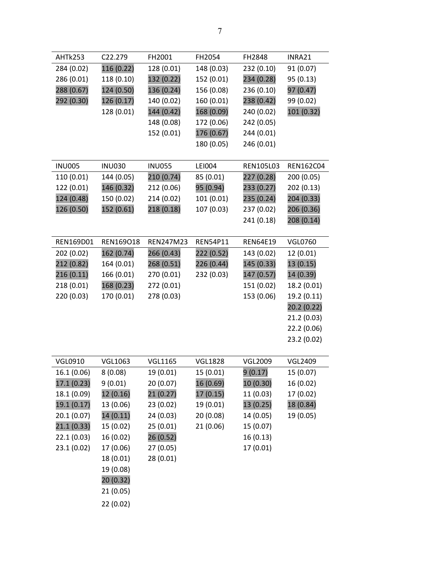| AHTk253       | C <sub>22</sub> .279 | FH2001        | FH2054          | FH2848           | INRA21         |
|---------------|----------------------|---------------|-----------------|------------------|----------------|
| 284 (0.02)    | 116 (0.22)           | 128 (0.01)    | 148 (0.03)      | 232 (0.10)       | 91 (0.07)      |
| 286 (0.01)    | 118 (0.10)           | 132 (0.22)    | 152 (0.01)      | 234 (0.28)       | 95 (0.13)      |
| 288 (0.67)    | 124 (0.50)           | 136 (0.24)    | 156 (0.08)      | 236 (0.10)       | 97 (0.47)      |
| 292 (0.30)    | 126 (0.17)           | 140 (0.02)    | 160 (0.01)      | 238 (0.42)       | 99 (0.02)      |
|               | 128 (0.01)           | 144 (0.42)    | 168 (0.09)      | 240 (0.02)       | 101 (0.32)     |
|               |                      | 148 (0.08)    | 172 (0.06)      | 242 (0.05)       |                |
|               |                      | 152 (0.01)    | 176 (0.67)      | 244 (0.01)       |                |
|               |                      |               | 180 (0.05)      | 246 (0.01)       |                |
|               |                      |               |                 |                  |                |
| <b>INU005</b> | <b>INU030</b>        | <b>INU055</b> | <b>LEI004</b>   | <b>REN105L03</b> | REN162C04      |
| 110 (0.01)    | 144 (0.05)           | 210 (0.74)    | 85 (0.01)       | 227 (0.28)       | 200 (0.05)     |
| 122 (0.01)    | 146 (0.32)           | 212 (0.06)    | 95 (0.94)       | 233 (0.27)       | 202 (0.13)     |
| 124 (0.48)    | 150 (0.02)           | 214 (0.02)    | 101 (0.01)      | 235 (0.24)       | 204 (0.33)     |
| 126 (0.50)    | 152 (0.61)           | 218 (0.18)    | 107 (0.03)      | 237 (0.02)       | 206 (0.36)     |
|               |                      |               |                 | 241 (0.18)       | 208 (0.14)     |
|               |                      |               |                 |                  |                |
| REN169D01     | REN169018            | REN247M23     | <b>REN54P11</b> | <b>REN64E19</b>  | <b>VGL0760</b> |
| 202 (0.02)    | 162 (0.74)           | 266 (0.43)    | 222 (0.52)      | 143 (0.02)       | 12 (0.01)      |
| 212 (0.82)    | 164 (0.01)           | 268 (0.51)    | 226 (0.44)      | 145 (0.33)       | 13 (0.15)      |
| 216(0.11)     | 166 (0.01)           | 270 (0.01)    | 232 (0.03)      | 147 (0.57)       | 14 (0.39)      |
| 218 (0.01)    | 168 (0.23)           | 272 (0.01)    |                 | 151 (0.02)       | 18.2 (0.01)    |
| 220 (0.03)    | 170 (0.01)           | 278 (0.03)    |                 | 153 (0.06)       | 19.2 (0.11)    |
|               |                      |               |                 |                  | 20.2 (0.22)    |
|               |                      |               |                 |                  | 21.2 (0.03)    |
|               |                      |               |                 |                  | 22.2 (0.06)    |
|               |                      |               |                 |                  | 23.2 (0.02)    |
|               |                      |               |                 |                  |                |

| <b>VGL0910</b> | VGL1063   | <b>VGL1165</b> | VGL1828   | <b>VGL2009</b> | <b>VGL2409</b> |
|----------------|-----------|----------------|-----------|----------------|----------------|
| 16.1 (0.06)    | 8(0.08)   | 19 (0.01)      | 15(0.01)  | 9(0.17)        | 15 (0.07)      |
| 17.1(0.23)     | 9(0.01)   | 20 (0.07)      | 16 (0.69) | 10 (0.30)      | 16 (0.02)      |
| 18.1 (0.09)    | 12 (0.16) | 21(0.27)       | 17 (0.15) | 11 (0.03)      | 17 (0.02)      |
| 19.1 (0.17)    | 13 (0.06) | 23(0.02)       | 19 (0.01) | 13 (0.25)      | 18 (0.84)      |
| 20.1(0.07)     | 14 (0.11) | 24 (0.03)      | 20 (0.08) | 14 (0.05)      | 19 (0.05)      |
| 21.1(0.33)     | 15 (0.02) | 25(0.01)       | 21(0.06)  | 15 (0.07)      |                |
| 22.1(0.03)     | 16 (0.02) | 26 (0.52)      |           | 16 (0.13)      |                |
| 23.1(0.02)     | 17 (0.06) | 27 (0.05)      |           | 17 (0.01)      |                |
|                | 18 (0.01) | 28 (0.01)      |           |                |                |
|                | 19 (0.08) |                |           |                |                |
|                | 20 (0.32) |                |           |                |                |
|                | 21(0.05)  |                |           |                |                |
|                | 22(0.02)  |                |           |                |                |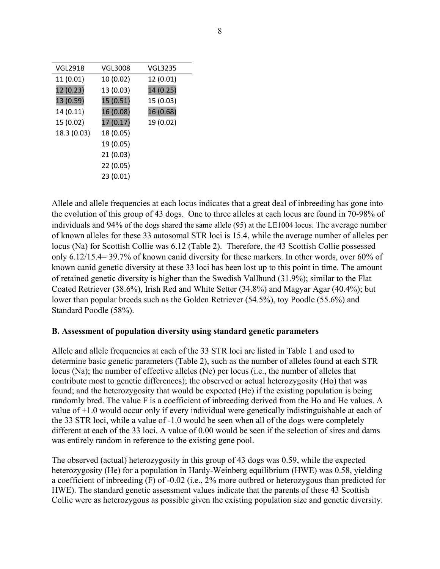| <b>VGL2918</b> | <b>VGL3008</b> | <b>VGL3235</b> |
|----------------|----------------|----------------|
| 11 (0.01)      | 10 (0.02)      | 12 (0.01)      |
| 12(0.23)       | 13 (0.03)      | 14 (0.25)      |
| 13 (0.59)      | 15 (0.51)      | 15 (0.03)      |
| 14 (0.11)      | 16 (0.08)      | 16 (0.68)      |
| 15 (0.02)      | 17 (0.17)      | 19 (0.02)      |
| 18.3 (0.03)    | 18 (0.05)      |                |
|                | 19 (0.05)      |                |
|                | 21 (0.03)      |                |
|                | 22 (0.05)      |                |
|                | 23 (0.01)      |                |

Allele and allele frequencies at each locus indicates that a great deal of inbreeding has gone into the evolution of this group of 43 dogs. One to three alleles at each locus are found in 70-98% of individuals and 94% of the dogs shared the same allele (95) at the LE1004 locus. The average number of known alleles for these 33 autosomal STR loci is 15.4, while the average number of alleles per locus (Na) for Scottish Collie was 6.12 (Table 2). Therefore, the 43 Scottish Collie possessed only 6.12/15.4= 39.7% of known canid diversity for these markers. In other words, over 60% of known canid genetic diversity at these 33 loci has been lost up to this point in time. The amount of retained genetic diversity is higher than the Swedish Vallhund (31.9%); similar to the Flat Coated Retriever (38.6%), Irish Red and White Setter (34.8%) and Magyar Agar (40.4%); but lower than popular breeds such as the Golden Retriever (54.5%), toy Poodle (55.6%) and Standard Poodle (58%).

### **B. Assessment of population diversity using standard genetic parameters**

Allele and allele frequencies at each of the 33 STR loci are listed in Table 1 and used to determine basic genetic parameters (Table 2), such as the number of alleles found at each STR locus (Na); the number of effective alleles (Ne) per locus (i.e., the number of alleles that contribute most to genetic differences); the observed or actual heterozygosity (Ho) that was found; and the heterozygosity that would be expected (He) if the existing population is being randomly bred. The value F is a coefficient of inbreeding derived from the Ho and He values. A value of +1.0 would occur only if every individual were genetically indistinguishable at each of the 33 STR loci, while a value of -1.0 would be seen when all of the dogs were completely different at each of the 33 loci. A value of 0.00 would be seen if the selection of sires and dams was entirely random in reference to the existing gene pool.

The observed (actual) heterozygosity in this group of 43 dogs was 0.59, while the expected heterozygosity (He) for a population in Hardy-Weinberg equilibrium (HWE) was 0.58, yielding a coefficient of inbreeding (F) of -0.02 (i.e., 2% more outbred or heterozygous than predicted for HWE). The standard genetic assessment values indicate that the parents of these 43 Scottish Collie were as heterozygous as possible given the existing population size and genetic diversity.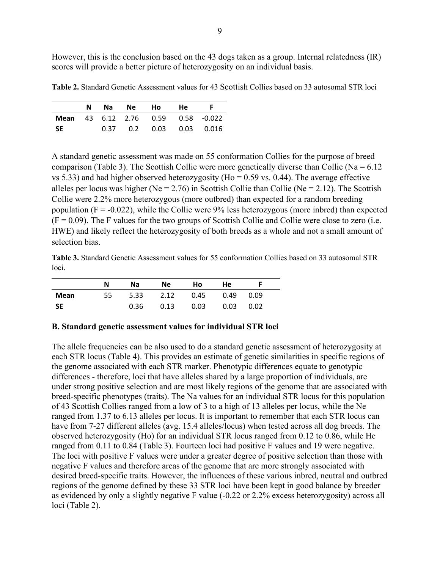However, this is the conclusion based on the 43 dogs taken as a group. Internal relatedness (IR) scores will provide a better picture of heterozygosity on an individual basis.

**Table 2.** Standard Genetic Assessment values for 43 Scottish Collies based on 33 autosomal STR loci

|     |  | N Na Ne Ho He                             |  |
|-----|--|-------------------------------------------|--|
|     |  | <b>Mean</b> 43 6.12 2.76 0.59 0.58 -0.022 |  |
| -SE |  | $0.37$ 0.2 0.03 0.03 0.016                |  |

A standard genetic assessment was made on 55 conformation Collies for the purpose of breed comparison (Table 3). The Scottish Collie were more genetically diverse than Collie ( $Na = 6.12$ ) vs 5.33) and had higher observed heterozygosity (Ho =  $0.59$  vs. 0.44). The average effective alleles per locus was higher (Ne = 2.76) in Scottish Collie than Collie (Ne = 2.12). The Scottish Collie were 2.2% more heterozygous (more outbred) than expected for a random breeding population ( $F = -0.022$ ), while the Collie were 9% less heterozygous (more inbred) than expected  $(F = 0.09)$ . The F values for the two groups of Scottish Collie and Collie were close to zero (i.e. HWE) and likely reflect the heterozygosity of both breeds as a whole and not a small amount of selection bias.

**Table 3.** Standard Genetic Assessment values for 55 conformation Collies based on 33 autosomal STR loci.

|           | N  | Na   | Ne.  | Ho.  | He   |      |  |
|-----------|----|------|------|------|------|------|--|
| Mean      | 55 | 5.33 | 2.12 | 0.45 | 0.49 | 0.09 |  |
| <b>SE</b> |    | 0.36 | 0.13 | 0.03 | 0.03 | 0.02 |  |

#### **B. Standard genetic assessment values for individual STR loci**

The allele frequencies can be also used to do a standard genetic assessment of heterozygosity at each STR locus (Table 4). This provides an estimate of genetic similarities in specific regions of the genome associated with each STR marker. Phenotypic differences equate to genotypic differences - therefore, loci that have alleles shared by a large proportion of individuals, are under strong positive selection and are most likely regions of the genome that are associated with breed-specific phenotypes (traits). The Na values for an individual STR locus for this population of 43 Scottish Collies ranged from a low of 3 to a high of 13 alleles per locus, while the Ne ranged from 1.37 to 6.13 alleles per locus. It is important to remember that each STR locus can have from 7-27 different alleles (avg. 15.4 alleles/locus) when tested across all dog breeds. The observed heterozygosity (Ho) for an individual STR locus ranged from 0.12 to 0.86, while He ranged from 0.11 to 0.84 (Table 3). Fourteen loci had positive F values and 19 were negative. The loci with positive F values were under a greater degree of positive selection than those with negative F values and therefore areas of the genome that are more strongly associated with desired breed-specific traits. However, the influences of these various inbred, neutral and outbred regions of the genome defined by these 33 STR loci have been kept in good balance by breeder as evidenced by only a slightly negative F value (-0.22 or 2.2% excess heterozygosity) across all loci (Table 2).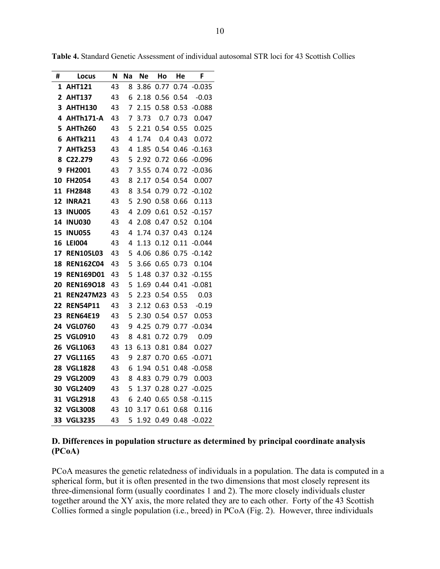| #  | Locus            | N  | <b>Na</b> | <b>Ne</b> | Ho   | He   | F        |
|----|------------------|----|-----------|-----------|------|------|----------|
| 1  | <b>AHT121</b>    | 43 | 8         | 3.86      | 0.77 | 0.74 | $-0.035$ |
| 2  | <b>AHT137</b>    | 43 | 6         | 2.18      | 0.56 | 0.54 | $-0.03$  |
| 3  | <b>AHTH130</b>   | 43 | 7         | 2.15      | 0.58 | 0.53 | $-0.088$ |
| 4  | AHTh171-A        | 43 | 7         | 3.73      | 0.7  | 0.73 | 0.047    |
| 5  | <b>AHTh260</b>   | 43 | 5         | 2.21      | 0.54 | 0.55 | 0.025    |
| 6  | <b>AHTk211</b>   | 43 | 4         | 1.74      | 0.4  | 0.43 | 0.072    |
| 7  | <b>AHTk253</b>   | 43 | 4         | 1.85      | 0.54 | 0.46 | $-0.163$ |
| 8  | C22.279          | 43 | 5         | 2.92      | 0.72 | 0.66 | $-0.096$ |
| 9  | FH2001           | 43 | 7         | 3.55      | 0.74 | 0.72 | $-0.036$ |
| 10 | FH2054           | 43 | 8         | 2.17      | 0.54 | 0.54 | 0.007    |
| 11 | <b>FH2848</b>    | 43 | 8         | 3.54      | 0.79 | 0.72 | $-0.102$ |
| 12 | <b>INRA21</b>    | 43 | 5         | 2.90      | 0.58 | 0.66 | 0.113    |
| 13 | <b>INU005</b>    | 43 | 4         | 2.09      | 0.61 | 0.52 | $-0.157$ |
| 14 | <b>INU030</b>    | 43 | 4         | 2.08      | 0.47 | 0.52 | 0.104    |
| 15 | <b>INU055</b>    | 43 | 4         | 1.74      | 0.37 | 0.43 | 0.124    |
| 16 | <b>LEI004</b>    | 43 | 4         | 1.13      | 0.12 | 0.11 | $-0.044$ |
| 17 | <b>REN105L03</b> | 43 | 5         | 4.06      | 0.86 | 0.75 | $-0.142$ |
| 18 | <b>REN162C04</b> | 43 | 5         | 3.66      | 0.65 | 0.73 | 0.104    |
| 19 | <b>REN169D01</b> | 43 | 5         | 1.48      | 0.37 | 0.32 | $-0.155$ |
| 20 | <b>REN169018</b> | 43 | 5         | 1.69      | 0.44 | 0.41 | $-0.081$ |
| 21 | <b>REN247M23</b> | 43 | 5         | 2.23      | 0.54 | 0.55 | 0.03     |
| 22 | <b>REN54P11</b>  | 43 | 3         | 2.12      | 0.63 | 0.53 | $-0.19$  |
| 23 | <b>REN64E19</b>  | 43 | 5         | 2.30      | 0.54 | 0.57 | 0.053    |
| 24 | <b>VGL0760</b>   | 43 | 9         | 4.25      | 0.79 | 0.77 | $-0.034$ |
| 25 | <b>VGL0910</b>   | 43 | 8         | 4.81      | 0.72 | 0.79 | 0.09     |
| 26 | <b>VGL1063</b>   | 43 | 13        | 6.13      | 0.81 | 0.84 | 0.027    |
| 27 | <b>VGL1165</b>   | 43 | 9         | 2.87      | 0.70 | 0.65 | $-0.071$ |
| 28 | <b>VGL1828</b>   | 43 | 6         | 1.94      | 0.51 | 0.48 | $-0.058$ |
| 29 | <b>VGL2009</b>   | 43 | 8         | 4.83      | 0.79 | 0.79 | 0.003    |
| 30 | <b>VGL2409</b>   | 43 | 5         | 1.37      | 0.28 | 0.27 | $-0.025$ |
| 31 | <b>VGL2918</b>   | 43 | 6         | 2.40      | 0.65 | 0.58 | $-0.115$ |
| 32 | <b>VGL3008</b>   | 43 | 10        | 3.17      | 0.61 | 0.68 | 0.116    |
| 33 | <b>VGL3235</b>   | 43 | 5         | 1.92      | 0.49 | 0.48 | $-0.022$ |

**Table 4.** Standard Genetic Assessment of individual autosomal STR loci for 43 Scottish Collies

### **D. Differences in population structure as determined by principal coordinate analysis (PCoA)**

PCoA measures the genetic relatedness of individuals in a population. The data is computed in a spherical form, but it is often presented in the two dimensions that most closely represent its three-dimensional form (usually coordinates 1 and 2). The more closely individuals cluster together around the XY axis, the more related they are to each other. Forty of the 43 Scottish Collies formed a single population (i.e., breed) in PCoA (Fig. 2). However, three individuals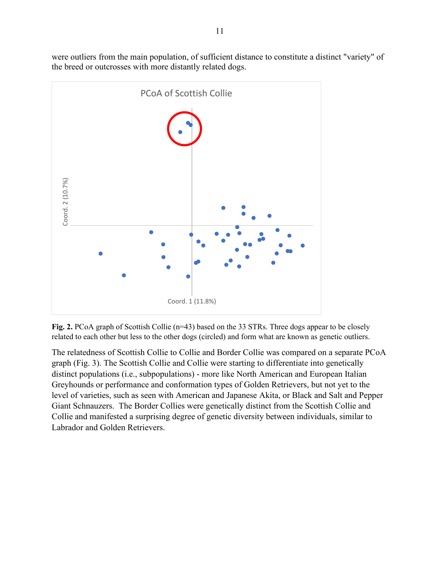were outliers from the main population, of sufficient distance to constitute a distinct "variety" of the breed or outcrosses with more distantly related dogs.



Fig. 2. PCoA graph of Scottish Collie (n=43) based on the 33 STRs. Three dogs appear to be closely related to each other but less to the other dogs (circled) and form what are known as genetic outliers.

The relatedness of Scottish Collie to Collie and Border Collie was compared on a separate PCoA graph (Fig. 3). The Scottish Collie and Collie were starting to differentiate into genetically distinct populations (i.e., subpopulations) - more like North American and European Italian Greyhounds or performance and conformation types of Golden Retrievers, but not yet to the level of varieties, such as seen with American and Japanese Akita, or Black and Salt and Pepper Giant Schnauzers. The Border Collies were genetically distinct from the Scottish Collie and Collie and manifested a surprising degree of genetic diversity between individuals, similar to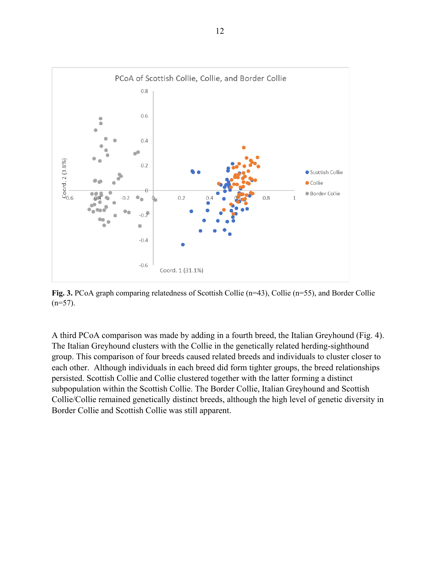

**Fig. 3.** PCoA graph comparing relatedness of Scottish Collie (n=43), Collie (n=55), and Border Collie  $(n=57)$ .

A third PCoA comparison was made by adding in a fourth breed, the Italian Greyhound (Fig. 4). The Italian Greyhound clusters with the Collie in the genetically related herding-sighthound group. This comparison of four breeds caused related breeds and individuals to cluster closer to each other. Although individuals in each breed did form tighter groups, the breed relationships persisted. Scottish Collie and Collie clustered together with the latter forming a distinct subpopulation within the Scottish Collie. The Border Collie, Italian Greyhound and Scottish Collie/Collie remained genetically distinct breeds, although the high level of genetic diversity in Border Collie and Scottish Collie was still apparent.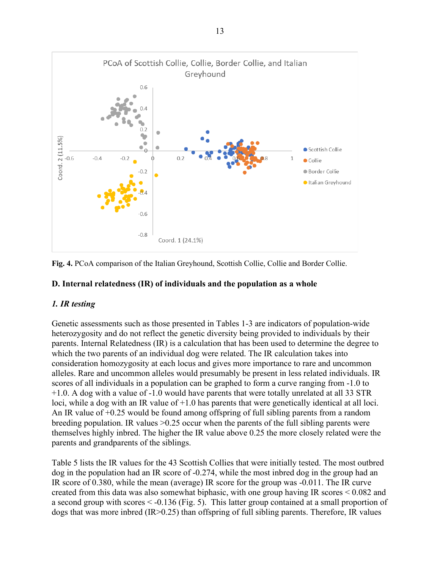

**Fig. 4.** PCoA comparison of the Italian Greyhound, Scottish Collie, Collie and Border Collie.

### **D. Internal relatedness (IR) of individuals and the population as a whole**

## *1. IR testing*

Genetic assessments such as those presented in Tables 1-3 are indicators of population-wide heterozygosity and do not reflect the genetic diversity being provided to individuals by their parents. Internal Relatedness (IR) is a calculation that has been used to determine the degree to which the two parents of an individual dog were related. The IR calculation takes into consideration homozygosity at each locus and gives more importance to rare and uncommon alleles. Rare and uncommon alleles would presumably be present in less related individuals. IR scores of all individuals in a population can be graphed to form a curve ranging from -1.0 to +1.0. A dog with a value of -1.0 would have parents that were totally unrelated at all 33 STR loci, while a dog with an IR value of +1.0 has parents that were genetically identical at all loci. An IR value of +0.25 would be found among offspring of full sibling parents from a random breeding population. IR values >0.25 occur when the parents of the full sibling parents were themselves highly inbred. The higher the IR value above 0.25 the more closely related were the parents and grandparents of the siblings.

Table 5 lists the IR values for the 43 Scottish Collies that were initially tested. The most outbred dog in the population had an IR score of -0.274, while the most inbred dog in the group had an IR score of 0.380, while the mean (average) IR score for the group was -0.011. The IR curve created from this data was also somewhat biphasic, with one group having IR scores < 0.082 and a second group with scores < -0.136 (Fig. 5). This latter group contained at a small proportion of dogs that was more inbred (IR>0.25) than offspring of full sibling parents. Therefore, IR values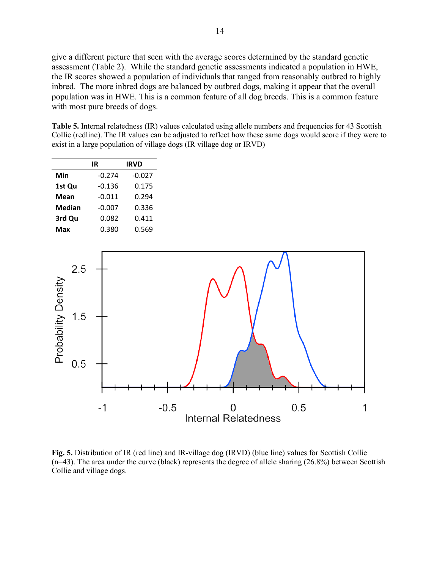14

give a different picture that seen with the average scores determined by the standard genetic assessment (Table 2). While the standard genetic assessments indicated a population in HWE, the IR scores showed a population of individuals that ranged from reasonably outbred to highly inbred. The more inbred dogs are balanced by outbred dogs, making it appear that the overall population was in HWE. This is a common feature of all dog breeds. This is a common feature with most pure breeds of dogs.

Table 5. Internal relatedness (IR) values calculated using allele numbers and frequencies for 43 Scottish Collie (redline). The IR values can be adjusted to reflect how these same dogs would score if they were to exist in a large population of village dogs (IR village dog or IRVD)

|               | IR       | <b>IRVD</b> |
|---------------|----------|-------------|
| Min           | $-0.274$ | $-0.027$    |
| 1st Qu        | $-0.136$ | 0.175       |
| <b>Mean</b>   | $-0.011$ | 0.294       |
| <b>Median</b> | $-0.007$ | 0.336       |
| 3rd Qu        | 0.082    | 0.411       |
| Max           | 0.380    | 0.569       |



**Fig. 5.** Distribution of IR (red line) and IR-village dog (IRVD) (blue line) values for Scottish Collie (n=43). The area under the curve (black) represents the degree of allele sharing (26.8%) between Scottish Collie and village dogs.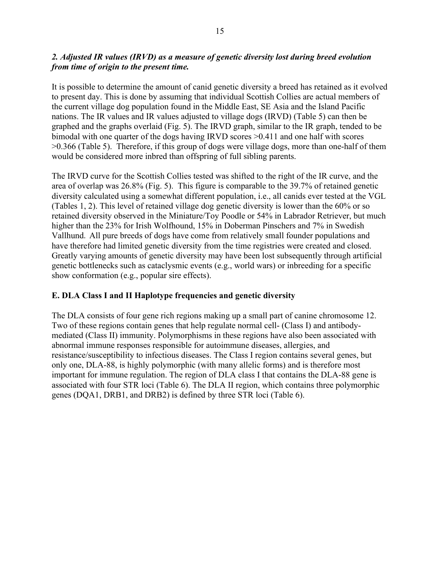## *2. Adjusted IR values (IRVD) as a measure of genetic diversity lost during breed evolution from time of origin to the present time.*

It is possible to determine the amount of canid genetic diversity a breed has retained as it evolved to present day. This is done by assuming that individual Scottish Collies are actual members of the current village dog population found in the Middle East, SE Asia and the Island Pacific nations. The IR values and IR values adjusted to village dogs (IRVD) (Table 5) can then be graphed and the graphs overlaid (Fig. 5). The IRVD graph, similar to the IR graph, tended to be bimodal with one quarter of the dogs having IRVD scores >0.411 and one half with scores >0.366 (Table 5). Therefore, if this group of dogs were village dogs, more than one-half of them would be considered more inbred than offspring of full sibling parents.

The IRVD curve for the Scottish Collies tested was shifted to the right of the IR curve, and the area of overlap was 26.8% (Fig. 5). This figure is comparable to the 39.7% of retained genetic diversity calculated using a somewhat different population, i.e., all canids ever tested at the VGL (Tables 1, 2). This level of retained village dog genetic diversity is lower than the 60% or so retained diversity observed in the Miniature/Toy Poodle or 54% in Labrador Retriever, but much higher than the 23% for Irish Wolfhound, 15% in Doberman Pinschers and 7% in Swedish Vallhund. All pure breeds of dogs have come from relatively small founder populations and have therefore had limited genetic diversity from the time registries were created and closed. Greatly varying amounts of genetic diversity may have been lost subsequently through artificial genetic bottlenecks such as cataclysmic events (e.g., world wars) or inbreeding for a specific show conformation (e.g., popular sire effects).

## **E. DLA Class I and II Haplotype frequencies and genetic diversity**

The DLA consists of four gene rich regions making up a small part of canine chromosome 12. Two of these regions contain genes that help regulate normal cell- (Class I) and antibodymediated (Class II) immunity. Polymorphisms in these regions have also been associated with abnormal immune responses responsible for autoimmune diseases, allergies, and resistance/susceptibility to infectious diseases. The Class I region contains several genes, but only one, DLA-88, is highly polymorphic (with many allelic forms) and is therefore most important for immune regulation. The region of DLA class I that contains the DLA-88 gene is associated with four STR loci (Table 6). The DLA II region, which contains three polymorphic genes (DQA1, DRB1, and DRB2) is defined by three STR loci (Table 6).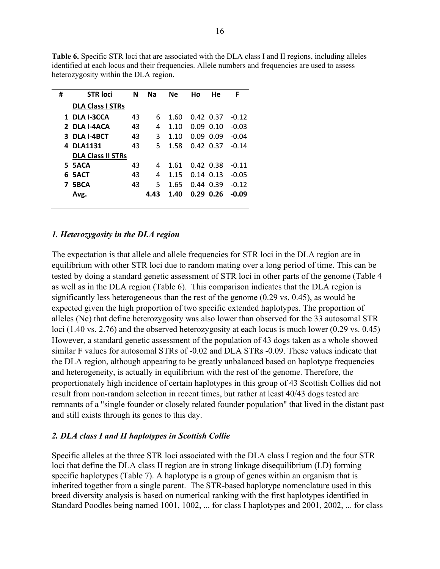| #  | <b>STR loci</b>          | N  | Na   | <b>Ne</b> | Ho   | He            | F       |
|----|--------------------------|----|------|-----------|------|---------------|---------|
|    | <b>DLA Class I STRs</b>  |    |      |           |      |               |         |
|    | 1 DLA I-3CCA             | 43 | 6    | 1.60      |      | 0.42 0.37     | $-0.12$ |
|    | 2 DLA I-4ACA             | 43 | 4    | 1.10      | 0.09 | 0.10          | $-0.03$ |
|    | 3 DLA I-4BCT             | 43 | 3    | 1.10      | 0.09 | 0.09          | $-0.04$ |
|    | 4 DLA1131                | 43 | 5    | 1.58      |      | 0.42 0.37     | $-0.14$ |
|    | <b>DLA Class II STRs</b> |    |      |           |      |               |         |
|    | 5 5ACA                   | 43 | 4    | 1.61      |      | $0.42$ 0.38   | $-0.11$ |
| 6. | 5ACT                     | 43 | 4    | 1.15      |      | $0.14$ $0.13$ | $-0.05$ |
| 7  | 5BCA                     | 43 | 5.   | 1.65      |      | 0.44 0.39     | $-0.12$ |
|    | Avg.                     |    | 4.43 | 1.40      |      | $0.29$ 0.26   | $-0.09$ |
|    |                          |    |      |           |      |               |         |

**Table 6.** Specific STR loci that are associated with the DLA class I and II regions, including alleles identified at each locus and their frequencies. Allele numbers and frequencies are used to assess heterozygosity within the DLA region.

#### *1. Heterozygosity in the DLA region*

The expectation is that allele and allele frequencies for STR loci in the DLA region are in equilibrium with other STR loci due to random mating over a long period of time. This can be tested by doing a standard genetic assessment of STR loci in other parts of the genome (Table 4 as well as in the DLA region (Table 6). This comparison indicates that the DLA region is significantly less heterogeneous than the rest of the genome (0.29 vs. 0.45), as would be expected given the high proportion of two specific extended haplotypes. The proportion of alleles (Ne) that define heterozygosity was also lower than observed for the 33 autosomal STR loci (1.40 vs. 2.76) and the observed heterozygosity at each locus is much lower (0.29 vs. 0.45) However, a standard genetic assessment of the population of 43 dogs taken as a whole showed similar F values for autosomal STRs of -0.02 and DLA STRs -0.09. These values indicate that the DLA region, although appearing to be greatly unbalanced based on haplotype frequencies and heterogeneity, is actually in equilibrium with the rest of the genome. Therefore, the proportionately high incidence of certain haplotypes in this group of 43 Scottish Collies did not result from non-random selection in recent times, but rather at least 40/43 dogs tested are remnants of a "single founder or closely related founder population" that lived in the distant past and still exists through its genes to this day.

#### *2. DLA class I and II haplotypes in Scottish Collie*

Specific alleles at the three STR loci associated with the DLA class I region and the four STR loci that define the DLA class II region are in strong linkage disequilibrium (LD) forming specific haplotypes (Table 7). A haplotype is a group of genes within an organism that is inherited together from a single parent. The STR-based haplotype nomenclature used in this breed diversity analysis is based on numerical ranking with the first haplotypes identified in Standard Poodles being named 1001, 1002, ... for class I haplotypes and 2001, 2002, ... for class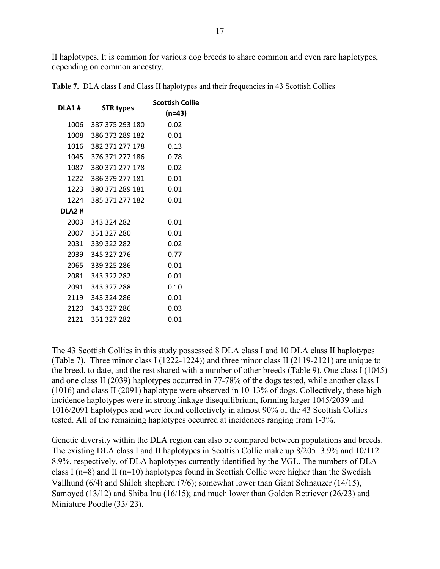II haplotypes. It is common for various dog breeds to share common and even rare haplotypes, depending on common ancestry.

| DLA1#        | <b>STR types</b>     | <b>Scottish Collie</b><br>$(n=43)$ |
|--------------|----------------------|------------------------------------|
| 1006         | 387 375 293 180      | 0.02                               |
| 1008         | 386 373 289 182      | 0.01                               |
| 1016         | 382 371 277 178      | 0.13                               |
| 1045         | 376 371 277 186      | 0.78                               |
|              | 1087 380 371 277 178 | 0.02                               |
|              | 1222 386 379 277 181 | 0.01                               |
| 1223         | 380 371 289 181      | 0.01                               |
| 1224         | 385 371 277 182      | 0.01                               |
| <b>DLA2#</b> |                      |                                    |
|              | 2003 343 324 282     | 0.01                               |
|              | 2007 351 327 280     | 0.01                               |
| 2031         | 339 322 282          | 0.02                               |
| 2039         | 345 327 276          | 0.77                               |
| 2065         | 339 325 286          | 0.01                               |
| 2081         | 343 322 282          | 0.01                               |
|              | 2091 343 327 288     | 0.10                               |
|              | 2119 343 324 286     | 0.01                               |
| 2120         | 343 327 286          | 0.03                               |
| 2121         | 351 327 282          | 0.01                               |

**Table 7.** DLA class I and Class II haplotypes and their frequencies in 43 Scottish Collies

The 43 Scottish Collies in this study possessed 8 DLA class I and 10 DLA class II haplotypes (Table 7). Three minor class I (1222-1224)) and three minor class II (2119-2121) are unique to the breed, to date, and the rest shared with a number of other breeds (Table 9). One class I (1045) and one class II (2039) haplotypes occurred in 77-78% of the dogs tested, while another class I (1016) and class II (2091) haplotype were observed in 10-13% of dogs. Collectively, these high incidence haplotypes were in strong linkage disequilibrium, forming larger 1045/2039 and 1016/2091 haplotypes and were found collectively in almost 90% of the 43 Scottish Collies tested. All of the remaining haplotypes occurred at incidences ranging from 1-3%.

Genetic diversity within the DLA region can also be compared between populations and breeds. The existing DLA class I and II haplotypes in Scottish Collie make up 8/205=3.9% and 10/112= 8.9%, respectively, of DLA haplotypes currently identified by the VGL. The numbers of DLA class I ( $n=8$ ) and II ( $n=10$ ) haplotypes found in Scottish Collie were higher than the Swedish Vallhund (6/4) and Shiloh shepherd (7/6); somewhat lower than Giant Schnauzer (14/15), Samoyed (13/12) and Shiba Inu (16/15); and much lower than Golden Retriever (26/23) and Miniature Poodle (33/ 23).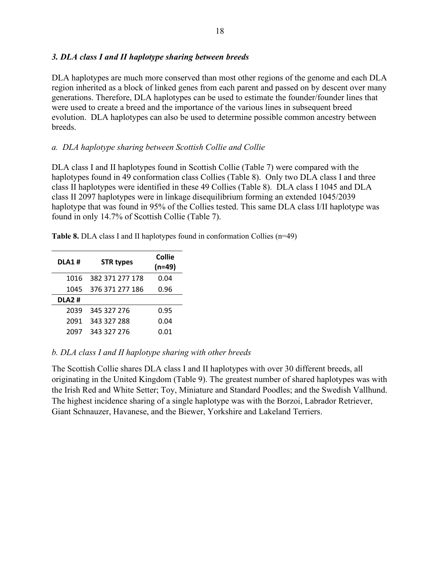### *3. DLA class I and II haplotype sharing between breeds*

DLA haplotypes are much more conserved than most other regions of the genome and each DLA region inherited as a block of linked genes from each parent and passed on by descent over many generations. Therefore, DLA haplotypes can be used to estimate the founder/founder lines that were used to create a breed and the importance of the various lines in subsequent breed evolution. DLA haplotypes can also be used to determine possible common ancestry between breeds.

### *a. DLA haplotype sharing between Scottish Collie and Collie*

DLA class I and II haplotypes found in Scottish Collie (Table 7) were compared with the haplotypes found in 49 conformation class Collies (Table 8). Only two DLA class I and three class II haplotypes were identified in these 49 Collies (Table 8). DLA class I 1045 and DLA class II 2097 haplotypes were in linkage disequilibrium forming an extended 1045/2039 haplotype that was found in 95% of the Collies tested. This same DLA class I/II haplotype was found in only 14.7% of Scottish Collie (Table 7).

**Table 8.** DLA class I and II haplotypes found in conformation Collies (n=49)

| <b>DLA1#</b> | <b>STR types</b> | <b>Collie</b><br>$(n=49)$ |
|--------------|------------------|---------------------------|
| 1016         | 382 371 277 178  | 0.04                      |
| 1045         | 376 371 277 186  | 0.96                      |
| <b>DLA2#</b> |                  |                           |
| 2039         | 345 327 276      | 0.95                      |
| 2091         | 343 327 288      | 0.04                      |
| 2097         | 343 327 276      | 0.01                      |

### *b. DLA class I and II haplotype sharing with other breeds*

The Scottish Collie shares DLA class I and II haplotypes with over 30 different breeds, all originating in the United Kingdom (Table 9). The greatest number of shared haplotypes was with the Irish Red and White Setter; Toy, Miniature and Standard Poodles; and the Swedish Vallhund. The highest incidence sharing of a single haplotype was with the Borzoi, Labrador Retriever, Giant Schnauzer, Havanese, and the Biewer, Yorkshire and Lakeland Terriers.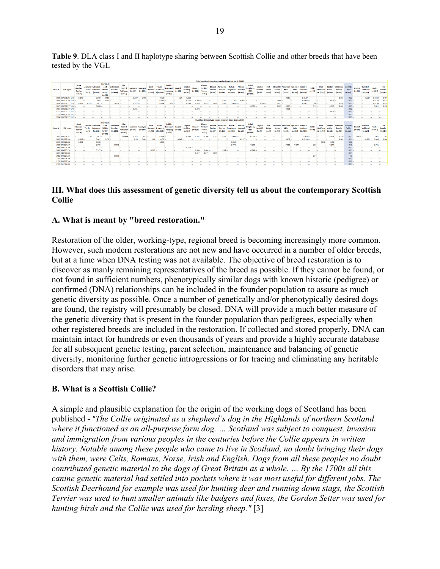**Table 9**. DLA class I and II haplotype sharing between Scottish Collie and other breeds that have been tested by the VGL

|        | DIA Class I Haplotype Frequencies (Updated Dec 6, 2019)<br><b>Irish Red</b> |  |                                                        |                                          |                                             |                             |                                   |                                                        |                                        |             |                   |                                                |                                           |                            |                                        |                            |                                           |                                         |                                         |                                                          |                        |                                                       |                                         |                     |            |                                                          |                      |                                         |                      |                                             |                               |                                             |                               |                             |                                         |                        |                            |
|--------|-----------------------------------------------------------------------------|--|--------------------------------------------------------|------------------------------------------|---------------------------------------------|-----------------------------|-----------------------------------|--------------------------------------------------------|----------------------------------------|-------------|-------------------|------------------------------------------------|-------------------------------------------|----------------------------|----------------------------------------|----------------------------|-------------------------------------------|-----------------------------------------|-----------------------------------------|----------------------------------------------------------|------------------------|-------------------------------------------------------|-----------------------------------------|---------------------|------------|----------------------------------------------------------|----------------------|-----------------------------------------|----------------------|---------------------------------------------|-------------------------------|---------------------------------------------|-------------------------------|-----------------------------|-----------------------------------------|------------------------|----------------------------|
| DLA1#  | <b>STR types</b>                                                            |  | Black<br>Russlan<br><b>Terrior</b><br>$(n=134)$        | <b>Terrier</b><br>$(n-75)$               | Lakeland Labrador<br>Retriever<br>$(n-181)$ | and<br>Setter<br>$(n=60)$   | Doberman<br>Pinscher<br>$(n+618)$ | Flat<br>Coated<br><b>Retriever</b><br>$(n - 547)$      | <b>Havanese Samoved</b><br>$(n - 448)$ | $(n - 189)$ | Saint<br>$(n-52)$ | Giant<br><b>Bernard Schnauze</b><br>$r(n=220)$ | Polish<br>Lowland<br>Sheepdog<br>$(n=19)$ | <b>Borzo</b><br>$(n - 68)$ | English<br><b>Bulldog</b><br>$(n-163)$ | Blewer<br>$(n-121)$        | Biewe<br>Yorshire<br>Terries<br>$(n=53)$  | Blewer<br><b>Terrier</b><br>$(n - 107)$ | <b>Terrier</b><br>$(n-16)$              | Yorkshire Italian<br>Greyhound Klee Kai<br>$(n - 943)$   | Alaskan<br>$fn = $481$ | <b>Shepherd</b><br><b>ISSA</b><br>$(n=183)$           | <b>English</b><br>Mastiff<br>$(n - 20)$ | Irish<br>$(n - 49)$ | $(n - 94)$ | Llewellin American Japanese Golden<br>Akita<br>$(n-101)$ | $fn - 3661$          | Retriever<br>$(n-718)$                  | Collie<br>$(n-49)$   | <b>Irish</b><br>Wolfhou<br>nd (n=55)        | Border<br>Collie<br>$fn = $1$ | Miniature Scottisl<br>Poodle<br>$(n - 288)$ | Collie<br>$(n-47)$            | <b>Barbel</b><br>$(n - 66)$ | Swedish<br>Valihund<br>$(n-225)$        | Poodle<br>$(n - 2884)$ | Toy<br>Poodle<br>$(n=142)$ |
|        | 1006 387 375 293 180                                                        |  | $0.045 -$                                              |                                          | 0.039                                       | 0.058                       |                                   | -                                                      | 0.047                                  | $0.005 -$   |                   | $0.05 -$                                       |                                           | 0.14                       | 0.003                                  |                            |                                           |                                         |                                         |                                                          |                        |                                                       |                                         |                     |            | $0.059 -$                                                |                      | $0.0139 -$                              |                      |                                             | -                             | 0.003                                       | $0.02 -$                      |                             | 0.264                                   | 0.0468                 | 0.004                      |
|        | 1008 386 373 289 182                                                        |  |                                                        |                                          | 0.064                                       | 0.583                       |                                   |                                                        |                                        |             |                   | 0.045                                          |                                           |                            | 0.006                                  | 0.008                      |                                           |                                         | 0.06                                    | 0.1267                                                   | 0.0611                 |                                                       |                                         | 0.11                | 0.069      |                                                          | Links of             | 0.0014                                  |                      |                                             | $0.01 -$                      |                                             | 0.01                          |                             | <b>Sec</b>                              | 0.0168                 | 0.018                      |
|        | 1016 382 371 277 178                                                        |  | 0.011                                                  | 0.015                                    | $0.011 -$                                   |                             | 0.0138                            |                                                        | $0.212 -$                              |             | l a s             | 0.036                                          | $0.03 -$                                  |                            | 0.095                                  | 1,025                      |                                           | 0.019                                   | 0.03                                    | 0.0589                                                   |                        |                                                       | $0.13 -$                                |                     | $0.021 -$  |                                                          | ь.                   | 0.0021                                  | $0.04 -$             |                                             | b.                            | 0.024                                       | $0.12 -$                      |                             | .                                       | 0.0184                 | 0.032                      |
|        | 1045 376 371 277 186                                                        |  |                                                        | $\sim$                                   | $0.008 -$                                   |                             |                                   |                                                        |                                        |             |                   |                                                |                                           |                            |                                        |                            |                                           |                                         |                                         |                                                          |                        | 0.003                                                 |                                         | 14                  | 0.005      | $0.005 -$                                                |                      |                                         | $0.96 -$             |                                             | 0.157                         | 0.003                                       | $0.79 -$                      |                             | .                                       | 0.001                  | 0.032                      |
|        | 1087 380 371 277 178                                                        |  |                                                        |                                          |                                             |                             |                                   |                                                        | $0.001 -$                              |             |                   |                                                |                                           |                            |                                        | $0.004 -$                  |                                           |                                         |                                         |                                                          |                        |                                                       |                                         |                     |            | $0.015 -$                                                |                      |                                         |                      |                                             |                               | .                                           | $0.02 -$                      |                             | х.                                      |                        |                            |
|        | 1222 386 379 277 181                                                        |  |                                                        |                                          |                                             |                             |                                   |                                                        |                                        |             |                   |                                                |                                           |                            |                                        |                            |                                           |                                         |                                         |                                                          |                        |                                                       |                                         |                     |            |                                                          |                      |                                         |                      |                                             | $0.01 -$                      |                                             | $0.02 -$                      |                             |                                         |                        |                            |
|        | 1223 380 371 289 181                                                        |  |                                                        |                                          |                                             |                             |                                   |                                                        |                                        |             |                   |                                                |                                           |                            |                                        |                            |                                           |                                         |                                         |                                                          |                        |                                                       |                                         |                     |            |                                                          |                      |                                         |                      |                                             |                               |                                             | $0.01 -$                      |                             |                                         |                        |                            |
|        | 1224 385 371 277 182 -                                                      |  |                                                        |                                          |                                             |                             |                                   |                                                        |                                        |             |                   |                                                |                                           |                            |                                        |                            |                                           |                                         |                                         |                                                          |                        |                                                       |                                         |                     |            |                                                          |                      |                                         |                      |                                             | $\sim$                        | .                                           | $0.01 -$                      |                             | -                                       | <br>                   |                            |
|        |                                                                             |  |                                                        |                                          |                                             |                             |                                   |                                                        |                                        |             |                   |                                                |                                           |                            |                                        |                            |                                           |                                         |                                         | DLA Class II Haplotype Frequencies (Updated Dec 6, 2019) |                        |                                                       |                                         |                     |            |                                                          |                      |                                         |                      |                                             |                               |                                             |                               |                             |                                         |                        |                            |
|        |                                                                             |  |                                                        |                                          |                                             | <b>Irish Red</b>            |                                   |                                                        |                                        |             |                   |                                                |                                           |                            |                                        |                            |                                           |                                         |                                         |                                                          |                        |                                                       |                                         |                     |            |                                                          |                      |                                         |                      |                                             |                               |                                             |                               |                             |                                         |                        |                            |
| DLA2 # | <b>STR types</b>                                                            |  | Black<br><b>Russian</b><br><b>Terrier</b><br>$(n=134)$ | Lakeland<br><b>Terrier</b><br>$(n = 75)$ | Labrador<br>Retriever<br>$(n=181)$          | and<br>Setter<br>$(n = 60)$ | Doberman<br>Pinscher<br>(n:618)   | <b>Flat</b><br>Coated<br><b>Retriever</b><br>$(n=547)$ | <b>Havanese Samoved</b><br>$(n = 448)$ | $(n=189)$   | Saint<br>$(n=52)$ | Giant<br><b>Bernard Schnauze</b><br>$r(n=220)$ | Polish<br>Lowland<br>Sheepdog<br>$(n=19)$ | Borzoi<br>$(n=68)$         | English<br><b>Bulldog</b><br>$(n=163)$ | <b>Biewer</b><br>$(n=121)$ | Biewer<br>Yorshire<br>Terrier<br>$(n=53)$ | Biewer<br><b>Terrier</b><br>$(n=107)$   | Yorkshire<br><b>Terrier</b><br>$(n=16)$ | Italian<br><b>Greyhound Klee Kai</b><br>$(n=943)$        | Alaskan<br>$(n = 548)$ | <b>Shiloh</b><br>Shepherd<br><b>ISSA</b><br>$(n=183)$ | English<br>Mastiff<br>$(n=20)$          | Irish<br>$(n - 49)$ | $(n=94)$   | Llewellin American Japanese<br>Akita<br>$(n=101)$        | Akita<br>$(n = 366)$ | Golden<br><b>Retriever</b><br>$(n=718)$ | Collie<br>$(n = 49)$ | <b>Irish</b><br><b>Wolfhou</b><br>nd (n=55) | Border<br>Collie<br>$(n=51)$  | Ministure<br>Poodle<br>$(n=288)$            | Scottis<br>Collie<br>$(n=47)$ | Barbet<br>(n:66)            | <b>Swedish</b><br>Vallhund<br>$(n=225)$ | Poodle<br>$(n=2884)$   | Toy<br>Poodle<br>$(n=142)$ |
|        | 2003 343 324 282                                                            |  |                                                        | 0.74                                     | $0.017 -$                                   |                             |                                   | 0.1444                                                 | 0.217                                  | $0.013 -$   |                   | 0.036                                          |                                           |                            | 0.598                                  | 0.231                      | 0.208                                     | 0.252                                   | 0.38                                    | 0.0069                                                   |                        | $0.008 -$                                             |                                         |                     |            |                                                          | ٠.                   | $0.023 -$                               |                      |                                             | 0.029                         | 0.516                                       | 0.01                          | $0.129 -$                   |                                         | 0.091                  | 0.45                       |
|        | 2007 351 327 280                                                            |  | $0.045 -$                                              |                                          | 0.041                                       | $0.158 -$                   |                                   |                                                        | 0.05                                   | 1,005       |                   | $0.05 -$                                       |                                           | $0.147 -$                  |                                        |                            |                                           |                                         |                                         |                                                          | 0.0137                 |                                                       |                                         |                     |            | $0.059 -$                                                |                      | $0.0139 -$                              |                      |                                             |                               | 0.002                                       | $0.01 -$                      |                             | 0.271                                   | 0.016                  | 0.004                      |
|        | 2031 339 322 282                                                            |  | $0.034 -$                                              |                                          | $0.008 -$                                   |                             |                                   |                                                        |                                        |             |                   | $0.036 -$                                      |                                           |                            |                                        |                            |                                           |                                         |                                         | $0.0583 -$                                               |                        |                                                       |                                         | -                   |            |                                                          |                      |                                         | .                    | 0.018                                       | $0.01 -$                      |                                             | $0.02 -$                      |                             | .                                       | <br>.                  |                            |
|        | 2039 345 327 276                                                            |  |                                                        | $\sim$                                   | $0.008 -$                                   |                             | 0.0089                            |                                                        |                                        |             |                   |                                                |                                           |                            |                                        |                            |                                           |                                         |                                         | 0.0901                                                   |                        | 0.003                                                 |                                         | -                   |            | 0.099                                                    | 0.094                |                                         | 0.95                 |                                             | $0.147 -$                     |                                             | $0.78 -$                      |                             | -                                       | 0.001                  |                            |
|        | 2065 339 325 286                                                            |  |                                                        |                                          |                                             |                             |                                   |                                                        |                                        |             |                   |                                                |                                           |                            | 0.006                                  |                            |                                           |                                         |                                         |                                                          |                        |                                                       |                                         |                     |            |                                                          |                      |                                         |                      |                                             | -                             | .                                           | $0.01 -$                      |                             | b.                                      | <b>Section</b><br>     |                            |
|        | 2080 339 325 276                                                            |  |                                                        |                                          | 0.207                                       |                             |                                   |                                                        |                                        | -           | 0.087             |                                                |                                           |                            |                                        | 0.004                      | 0.009                                     |                                         | $0.03 -$                                |                                                          | -                      | 0.243                                                 |                                         | -                   |            |                                                          |                      |                                         |                      |                                             | -                             | .                                           | $0.01 -$                      |                             | -                                       |                        |                            |
|        | 2081 343 322 282                                                            |  |                                                        |                                          |                                             |                             |                                   |                                                        |                                        |             |                   |                                                |                                           |                            |                                        | 0.012                      |                                           | 0.005                                   |                                         |                                                          |                        |                                                       |                                         |                     |            |                                                          |                      |                                         |                      |                                             |                               |                                             | $0.01 -$                      |                             |                                         |                        |                            |
|        | 2091 343 327 288                                                            |  |                                                        |                                          |                                             |                             | 0.0138                            |                                                        |                                        |             |                   |                                                |                                           |                            |                                        |                            |                                           |                                         |                                         |                                                          |                        |                                                       |                                         |                     |            |                                                          |                      |                                         | 0.04                 |                                             | -                             | <b>Taxa</b>                                 | $0.1 -$                       |                             | -                                       |                        |                            |
|        | 2119 343 324 286                                                            |  |                                                        |                                          |                                             |                             |                                   |                                                        |                                        |             |                   |                                                |                                           |                            |                                        |                            |                                           |                                         |                                         |                                                          |                        |                                                       |                                         |                     |            |                                                          |                      |                                         |                      |                                             |                               | l a s                                       | $0.01 -$                      |                             | h.                                      | <b>Take</b>            |                            |
|        | 2120 343 327 286                                                            |  |                                                        |                                          |                                             |                             |                                   |                                                        |                                        |             |                   |                                                |                                           |                            |                                        |                            |                                           |                                         |                                         |                                                          |                        |                                                       |                                         |                     |            |                                                          |                      |                                         |                      |                                             |                               |                                             | $0.03 -$<br>$0.01 -$          |                             |                                         |                        |                            |

### **III. What does this assessment of genetic diversity tell us about the contemporary Scottish Collie**

### **A. What is meant by "breed restoration."**

Restoration of the older, working-type, regional breed is becoming increasingly more common. However, such modern restorations are not new and have occurred in a number of older breeds, but at a time when DNA testing was not available. The objective of breed restoration is to discover as manly remaining representatives of the breed as possible. If they cannot be found, or not found in sufficient numbers, phenotypically similar dogs with known historic (pedigree) or confirmed (DNA) relationships can be included in the founder population to assure as much genetic diversity as possible. Once a number of genetically and/or phenotypically desired dogs are found, the registry will presumably be closed. DNA will provide a much better measure of the genetic diversity that is present in the founder population than pedigrees, especially when other registered breeds are included in the restoration. If collected and stored properly, DNA can maintain intact for hundreds or even thousands of years and provide a highly accurate database for all subsequent genetic testing, parent selection, maintenance and balancing of genetic diversity, monitoring further genetic introgressions or for tracing and eliminating any heritable disorders that may arise.

## **B. What is a Scottish Collie?**

A simple and plausible explanation for the origin of the working dogs of Scotland has been published - *"The Collie originated as a shepherd's dog in the Highlands of northern Scotland where it functioned as an all-purpose farm dog. … Scotland was subject to conquest, invasion and immigration from various peoples in the centuries before the Collie appears in written history. Notable among these people who came to live in Scotland, no doubt bringing their dogs with them, were Celts, Romans, Norse, Irish and English. Dogs from all these peoples no doubt contributed genetic material to the dogs of Great Britain as a whole. … By the 1700s all this canine genetic material had settled into pockets where it was most useful for different jobs. The Scottish Deerhound for example was used for hunting deer and running down stags, the Scottish Terrier was used to hunt smaller animals like badgers and foxes, the Gordon Setter was used for hunting birds and the Collie was used for herding sheep."* [3]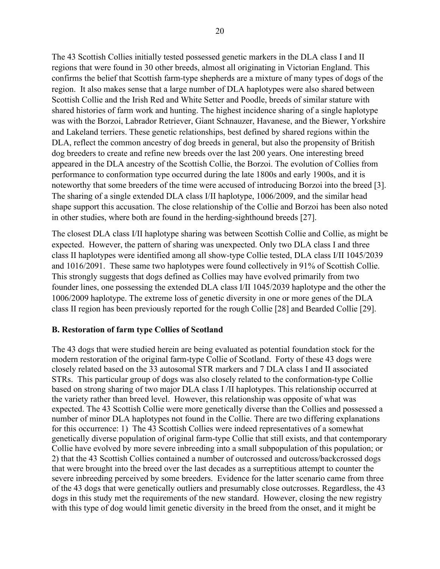The 43 Scottish Collies initially tested possessed genetic markers in the DLA class I and II regions that were found in 30 other breeds, almost all originating in Victorian England. This confirms the belief that Scottish farm-type shepherds are a mixture of many types of dogs of the region. It also makes sense that a large number of DLA haplotypes were also shared between Scottish Collie and the Irish Red and White Setter and Poodle, breeds of similar stature with shared histories of farm work and hunting. The highest incidence sharing of a single haplotype was with the Borzoi, Labrador Retriever, Giant Schnauzer, Havanese, and the Biewer, Yorkshire and Lakeland terriers. These genetic relationships, best defined by shared regions within the DLA, reflect the common ancestry of dog breeds in general, but also the propensity of British dog breeders to create and refine new breeds over the last 200 years. One interesting breed appeared in the DLA ancestry of the Scottish Collie, the Borzoi. The evolution of Collies from performance to conformation type occurred during the late 1800s and early 1900s, and it is noteworthy that some breeders of the time were accused of introducing Borzoi into the breed [3]. The sharing of a single extended DLA class I/II haplotype, 1006/2009, and the similar head shape support this accusation. The close relationship of the Collie and Borzoi has been also noted in other studies, where both are found in the herding-sighthound breeds [27].

The closest DLA class I/II haplotype sharing was between Scottish Collie and Collie, as might be expected. However, the pattern of sharing was unexpected. Only two DLA class I and three class II haplotypes were identified among all show-type Collie tested, DLA class I/II 1045/2039 and 1016/2091. These same two haplotypes were found collectively in 91% of Scottish Collie. This strongly suggests that dogs defined as Collies may have evolved primarily from two founder lines, one possessing the extended DLA class I/II 1045/2039 haplotype and the other the 1006/2009 haplotype. The extreme loss of genetic diversity in one or more genes of the DLA class II region has been previously reported for the rough Collie [28] and Bearded Collie [29].

## **B. Restoration of farm type Collies of Scotland**

The 43 dogs that were studied herein are being evaluated as potential foundation stock for the modern restoration of the original farm-type Collie of Scotland. Forty of these 43 dogs were closely related based on the 33 autosomal STR markers and 7 DLA class I and II associated STRs. This particular group of dogs was also closely related to the conformation-type Collie based on strong sharing of two major DLA class I /II haplotypes. This relationship occurred at the variety rather than breed level. However, this relationship was opposite of what was expected. The 43 Scottish Collie were more genetically diverse than the Collies and possessed a number of minor DLA haplotypes not found in the Collie. There are two differing explanations for this occurrence: 1) The 43 Scottish Collies were indeed representatives of a somewhat genetically diverse population of original farm-type Collie that still exists, and that contemporary Collie have evolved by more severe inbreeding into a small subpopulation of this population; or 2) that the 43 Scottish Collies contained a number of outcrossed and outcross/backcrossed dogs that were brought into the breed over the last decades as a surreptitious attempt to counter the severe inbreeding perceived by some breeders. Evidence for the latter scenario came from three of the 43 dogs that were genetically outliers and presumably close outcrosses. Regardless, the 43 dogs in this study met the requirements of the new standard. However, closing the new registry with this type of dog would limit genetic diversity in the breed from the onset, and it might be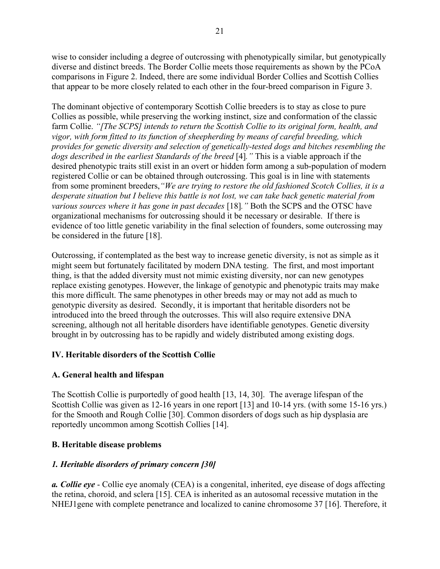wise to consider including a degree of outcrossing with phenotypically similar, but genotypically diverse and distinct breeds. The Border Collie meets those requirements as shown by the PCoA comparisons in Figure 2. Indeed, there are some individual Border Collies and Scottish Collies that appear to be more closely related to each other in the four-breed comparison in Figure 3.

The dominant objective of contemporary Scottish Collie breeders is to stay as close to pure Collies as possible, while preserving the working instinct, size and conformation of the classic farm Collie. *"[The SCPS] intends to return the Scottish Collie to its original form, health, and vigor, with form fitted to its function of sheepherding by means of careful breeding, which provides for genetic diversity and selection of genetically-tested dogs and bitches resembling the dogs described in the earliest Standards of the breed* [4]*."* This is a viable approach if the desired phenotypic traits still exist in an overt or hidden form among a sub-population of modern registered Collie or can be obtained through outcrossing. This goal is in line with statements from some prominent breeders,*"We are trying to restore the old fashioned Scotch Collies, it is a desperate situation but I believe this battle is not lost, we can take back genetic material from various sources where it has gone in past decades* [18]*."* Both the SCPS and the OTSC have organizational mechanisms for outcrossing should it be necessary or desirable. If there is evidence of too little genetic variability in the final selection of founders, some outcrossing may be considered in the future [18].

Outcrossing, if contemplated as the best way to increase genetic diversity, is not as simple as it might seem but fortunately facilitated by modern DNA testing. The first, and most important thing, is that the added diversity must not mimic existing diversity, nor can new genotypes replace existing genotypes. However, the linkage of genotypic and phenotypic traits may make this more difficult. The same phenotypes in other breeds may or may not add as much to genotypic diversity as desired. Secondly, it is important that heritable disorders not be introduced into the breed through the outcrosses. This will also require extensive DNA screening, although not all heritable disorders have identifiable genotypes. Genetic diversity brought in by outcrossing has to be rapidly and widely distributed among existing dogs.

## **IV. Heritable disorders of the Scottish Collie**

## **A. General health and lifespan**

The Scottish Collie is purportedly of good health [13, 14, 30]. The average lifespan of the Scottish Collie was given as 12-16 years in one report [13] and 10-14 yrs. (with some 15-16 yrs.) for the Smooth and Rough Collie [30]. Common disorders of dogs such as hip dysplasia are reportedly uncommon among Scottish Collies [14].

## **B. Heritable disease problems**

## *1. Heritable disorders of primary concern [30]*

*a. Collie eye* - Collie eye anomaly (CEA) is a congenital, inherited, eye disease of dogs affecting the retina, choroid, and sclera [15]. CEA is inherited as an autosomal recessive mutation in the NHEJ1gene with complete penetrance and localized to canine chromosome 37 [16]. Therefore, it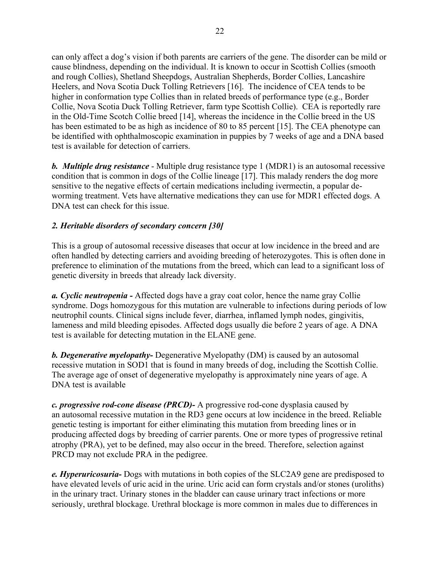can only affect a dog's vision if both parents are carriers of the gene. The disorder can be mild or cause blindness, depending on the individual. It is known to occur in Scottish Collies (smooth and rough Collies), Shetland Sheepdogs, Australian Shepherds, Border Collies, Lancashire Heelers, and [Nova Scotia Duck Tolling Retrievers](https://en.wikipedia.org/wiki/Nova_Scotia_Duck_Tolling_Retriever) [16]. The incidence of CEA tends to be higher in conformation type Collies than in related breeds of performance type (e.g., Border Collie, Nova Scotia Duck Tolling Retriever, farm type Scottish Collie). CEA is reportedly rare in the Old-Time Scotch Collie breed [14], whereas the incidence in the Collie breed in the US has been estimated to be as high as incidence of 80 to 85 percent [15]. The CEA phenotype can be identified with ophthalmoscopic examination in puppies by 7 weeks of age and a DNA based test is available for detection of carriers.

*b. Multiple drug resistance* - Multiple drug resistance type 1 (MDR1) is an autosomal recessive condition that is common in dogs of the Collie lineage [17]. This malady renders the dog more sensitive to the negative effects of certain medications including ivermectin, a popular deworming treatment. Vets have alternative medications they can use for MDR1 effected dogs. A DNA test can check for this issue.

## *2. Heritable disorders of secondary concern [30]*

This is a group of autosomal recessive diseases that occur at low incidence in the breed and are often handled by detecting carriers and avoiding breeding of heterozygotes. This is often done in preference to elimination of the mutations from the breed, which can lead to a significant loss of genetic diversity in breeds that already lack diversity.

*a. Cyclic neutropenia -* Affected dogs have a gray coat color, hence the name gray Collie syndrome. Dogs homozygous for this mutation are vulnerable to infections during periods of low neutrophil counts. Clinical signs include fever, diarrhea, inflamed lymph nodes, gingivitis, lameness and mild bleeding episodes. Affected dogs usually die before 2 years of age. A DNA test is available for detecting mutation in the ELANE gene.

*b. Degenerative myelopathy-* Degenerative Myelopathy (DM) is caused by an autosomal recessive mutation in SOD1 that is found in many breeds of dog, including the Scottish Collie. The average age of onset of degenerative myelopathy is approximately nine years of age. A DNA test is available

*c. progressive rod-cone disease (PRCD)-* A progressive rod-cone dysplasia caused by an [autosomal recessive](https://www.pawprintgenetics.com/glossary/#Autosomal%20Recessive) mutation in the RD3 gene occurs at low incidence in the breed. Reliable genetic testing is important for either eliminating this mutation from breeding lines or in producing affected dogs by breeding of carrier parents. One or more types of progressive retinal atrophy (PRA), yet to be defined, may also occur in the breed. Therefore, selection against PRCD may not exclude PRA in the pedigree.

*e. Hyperuricosuria-* Dogs with mutations in both copies of the SLC2A9 gene are predisposed to have elevated levels of uric acid in the urine. Uric acid can form crystals and/or stones (uroliths) in the urinary tract. Urinary stones in the bladder can cause urinary tract infections or more seriously, urethral blockage. Urethral blockage is more common in males due to differences in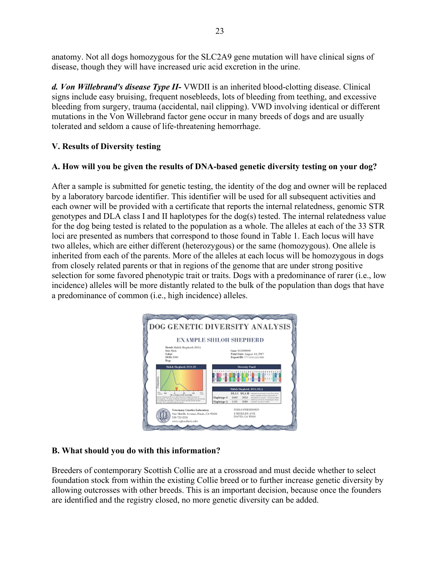anatomy. Not all dogs homozygous for the SLC2A9 gene mutation will have clinical signs of disease, though they will have increased uric acid excretion in the urine.

*d. Von Willebrand's disease Type II-* VWDII is an inherited blood-clotting disease. Clinical signs include easy bruising, frequent nosebleeds, lots of bleeding from teething, and excessive bleeding from surgery, trauma (accidental, nail clipping). VWD involving identical or different mutations in the Von Willebrand factor gene occur in many breeds of dogs and are usually tolerated and seldom a cause of life-threatening hemorrhage.

# **V. Results of Diversity testing**

## **A. How will you be given the results of DNA-based genetic diversity testing on your dog?**

After a sample is submitted for genetic testing, the identity of the dog and owner will be replaced by a laboratory barcode identifier. This identifier will be used for all subsequent activities and each owner will be provided with a certificate that reports the internal relatedness, genomic STR genotypes and DLA class I and II haplotypes for the dog(s) tested. The internal relatedness value for the dog being tested is related to the population as a whole. The alleles at each of the 33 STR loci are presented as numbers that correspond to those found in Table 1. Each locus will have two alleles, which are either different (heterozygous) or the same (homozygous). One allele is inherited from each of the parents. More of the alleles at each locus will be homozygous in dogs from closely related parents or that in regions of the genome that are under strong positive selection for some favored phenotypic trait or traits. Dogs with a predominance of rarer (i.e., low incidence) alleles will be more distantly related to the bulk of the population than dogs that have a predominance of common (i.e., high incidence) alleles.



## **B. What should you do with this information?**

Breeders of contemporary Scottish Collie are at a crossroad and must decide whether to select foundation stock from within the existing Collie breed or to further increase genetic diversity by allowing outcrosses with other breeds. This is an important decision, because once the founders are identified and the registry closed, no more genetic diversity can be added.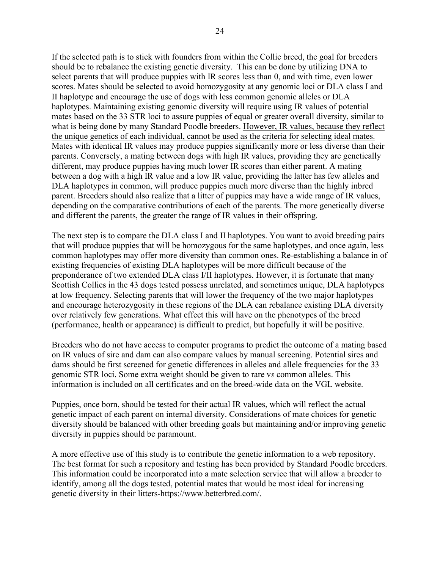If the selected path is to stick with founders from within the Collie breed, the goal for breeders should be to rebalance the existing genetic diversity. This can be done by utilizing DNA to select parents that will produce puppies with IR scores less than 0, and with time, even lower scores. Mates should be selected to avoid homozygosity at any genomic loci or DLA class I and II haplotype and encourage the use of dogs with less common genomic alleles or DLA haplotypes. Maintaining existing genomic diversity will require using IR values of potential mates based on the 33 STR loci to assure puppies of equal or greater overall diversity, similar to what is being done by many Standard Poodle breeders. However, IR values, because they reflect the unique genetics of each individual, cannot be used as the criteria for selecting ideal mates. Mates with identical IR values may produce puppies significantly more or less diverse than their parents. Conversely, a mating between dogs with high IR values, providing they are genetically different, may produce puppies having much lower IR scores than either parent. A mating between a dog with a high IR value and a low IR value, providing the latter has few alleles and DLA haplotypes in common, will produce puppies much more diverse than the highly inbred parent. Breeders should also realize that a litter of puppies may have a wide range of IR values, depending on the comparative contributions of each of the parents. The more genetically diverse and different the parents, the greater the range of IR values in their offspring.

The next step is to compare the DLA class I and II haplotypes. You want to avoid breeding pairs that will produce puppies that will be homozygous for the same haplotypes, and once again, less common haplotypes may offer more diversity than common ones. Re-establishing a balance in of existing frequencies of existing DLA haplotypes will be more difficult because of the preponderance of two extended DLA class I/II haplotypes. However, it is fortunate that many Scottish Collies in the 43 dogs tested possess unrelated, and sometimes unique, DLA haplotypes at low frequency. Selecting parents that will lower the frequency of the two major haplotypes and encourage heterozygosity in these regions of the DLA can rebalance existing DLA diversity over relatively few generations. What effect this will have on the phenotypes of the breed (performance, health or appearance) is difficult to predict, but hopefully it will be positive.

Breeders who do not have access to computer programs to predict the outcome of a mating based on IR values of sire and dam can also compare values by manual screening. Potential sires and dams should be first screened for genetic differences in alleles and allele frequencies for the 33 genomic STR loci. Some extra weight should be given to rare v*s* common alleles. This information is included on all certificates and on the breed-wide data on the VGL website.

Puppies, once born, should be tested for their actual IR values, which will reflect the actual genetic impact of each parent on internal diversity. Considerations of mate choices for genetic diversity should be balanced with other breeding goals but maintaining and/or improving genetic diversity in puppies should be paramount.

A more effective use of this study is to contribute the genetic information to a web repository. The best format for such a repository and testing has been provided by Standard Poodle breeders. This information could be incorporated into a mate selection service that will allow a breeder to identify, among all the dogs tested, potential mates that would be most ideal for increasing genetic diversity in their litters-https://www.betterbred.com/.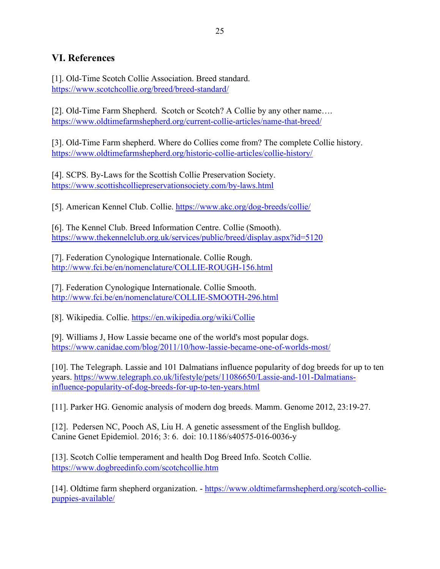# **VI. References**

[1]. Old-Time Scotch Collie Association. Breed standard. <https://www.scotchcollie.org/breed/breed-standard/>

[2]. Old-Time Farm Shepherd. Scotch or Scotch? A Collie by any other name.... <https://www.oldtimefarmshepherd.org/current-collie-articles/name-that-breed/>

[3]. Old-Time Farm shepherd. Where do Collies come from? The complete Collie history. <https://www.oldtimefarmshepherd.org/historic-collie-articles/collie-history/>

[4]. SCPS. By-Laws for the Scottish Collie Preservation Society. <https://www.scottishcolliepreservationsociety.com/by-laws.html>

[5]. American Kennel Club. Collie.<https://www.akc.org/dog-breeds/collie/>

[6]. The Kennel Club. Breed Information Centre. Collie (Smooth). <https://www.thekennelclub.org.uk/services/public/breed/display.aspx?id=5120>

[7]. Federation Cynologique Internationale. Collie Rough. <http://www.fci.be/en/nomenclature/COLLIE-ROUGH-156.html>

[7]. Federation Cynologique Internationale. Collie Smooth. <http://www.fci.be/en/nomenclature/COLLIE-SMOOTH-296.html>

[8]. Wikipedia. Collie.<https://en.wikipedia.org/wiki/Collie>

[9]. Williams J, How Lassie became one of the world's most popular dogs. <https://www.canidae.com/blog/2011/10/how-lassie-became-one-of-worlds-most/>

[10]. The Telegraph. Lassie and 101 Dalmatians influence popularity of dog breeds for up to ten years. [https://www.telegraph.co.uk/lifestyle/pets/11086650/Lassie-and-101-Dalmatians](https://www.telegraph.co.uk/lifestyle/pets/11086650/Lassie-and-101-Dalmatians-influence-popularity-of-dog-breeds-for-up-to-ten-years.html)[influence-popularity-of-dog-breeds-for-up-to-ten-years.html](https://www.telegraph.co.uk/lifestyle/pets/11086650/Lassie-and-101-Dalmatians-influence-popularity-of-dog-breeds-for-up-to-ten-years.html)

[11]. Parker HG. Genomic analysis of modern dog breeds. Mamm. Genome 2012, 23:19-27.

[12]. Pedersen NC, Pooch AS, Liu H. A genetic assessment of the English bulldog. Canine Genet Epidemiol. 2016; 3: 6. doi: 10.1186/s40575-016-0036-y

[13]. Scotch Collie temperament and health Dog Breed Info. Scotch Collie. <https://www.dogbreedinfo.com/scotchcollie.htm>

[14]. Oldtime farm shepherd organization. - [https://www.oldtimefarmshepherd.org/scotch-collie](https://www.oldtimefarmshepherd.org/scotch-collie-puppies-available/)[puppies-available/](https://www.oldtimefarmshepherd.org/scotch-collie-puppies-available/)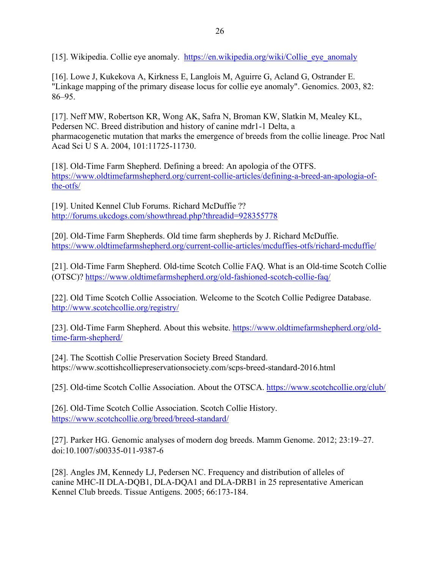[15]. Wikipedia. Collie eye anomaly. [https://en.wikipedia.org/wiki/Collie\\_eye\\_anomaly](https://en.wikipedia.org/wiki/Collie_eye_anomaly)

[16]. Lowe J, Kukekova A, Kirkness E, Langlois M, Aguirre G, Acland G, Ostrander E. "Linkage mapping of the primary disease locus for collie eye anomaly". Genomics. 2003, 82: 86–95.

[17]. Neff MW, Robertson KR, Wong AK, Safra N, Broman KW, Slatkin M, Mealey KL, Pedersen NC. Breed distribution and history of canine mdr1-1 Delta, a pharmacogenetic mutation that marks the emergence of breeds from the collie lineage. Proc Natl Acad Sci U S A. 2004, 101:11725-11730.

[18]. Old-Time Farm Shepherd. Defining a breed: An apologia of the OTFS. [https://www.oldtimefarmshepherd.org/current-collie-articles/defining-a-breed-an-apologia-of](https://www.oldtimefarmshepherd.org/current-collie-articles/defining-a-breed-an-apologia-of-the-otfs/)[the-otfs/](https://www.oldtimefarmshepherd.org/current-collie-articles/defining-a-breed-an-apologia-of-the-otfs/)

[19]. United Kennel Club Forums. Richard McDuffie ?? <http://forums.ukcdogs.com/showthread.php?threadid=928355778>

[20]. Old-Time Farm Shepherds. Old time farm shepherds by J. Richard McDuffie. <https://www.oldtimefarmshepherd.org/current-collie-articles/mcduffies-otfs/richard-mcduffie/>

[21]. Old-Time Farm Shepherd. Old-time Scotch Collie FAQ. What is an Old-time Scotch Collie (OTSC)?<https://www.oldtimefarmshepherd.org/old-fashioned-scotch-collie-faq/>

[22]. Old Time Scotch Collie Association. Welcome to the Scotch Collie Pedigree Database. <http://www.scotchcollie.org/registry/>

[23]. Old-Time Farm Shepherd. About this website. [https://www.oldtimefarmshepherd.org/old](https://www.oldtimefarmshepherd.org/old-time-farm-shepherd/)[time-farm-shepherd/](https://www.oldtimefarmshepherd.org/old-time-farm-shepherd/)

[24]. The Scottish Collie Preservation Society Breed Standard. https://www.scottishcolliepreservationsociety.com/scps-breed-standard-2016.html

[25]. Old-time Scotch Collie Association. About the OTSCA.<https://www.scotchcollie.org/club/>

[26]. Old-Time Scotch Collie Association. Scotch Collie History. <https://www.scotchcollie.org/breed/breed-standard/>

[27]. Parker HG. Genomic analyses of modern dog breeds. Mamm Genome. 2012; 23:19–27. doi:10.1007/s00335-011-9387-6

[28]. Angles JM, Kennedy LJ, Pedersen NC. Frequency and distribution of alleles of canine MHC-II DLA-DQB1, DLA-DQA1 and DLA-DRB1 in 25 representative American Kennel Club breeds. Tissue Antigens. 2005; 66:173-184.